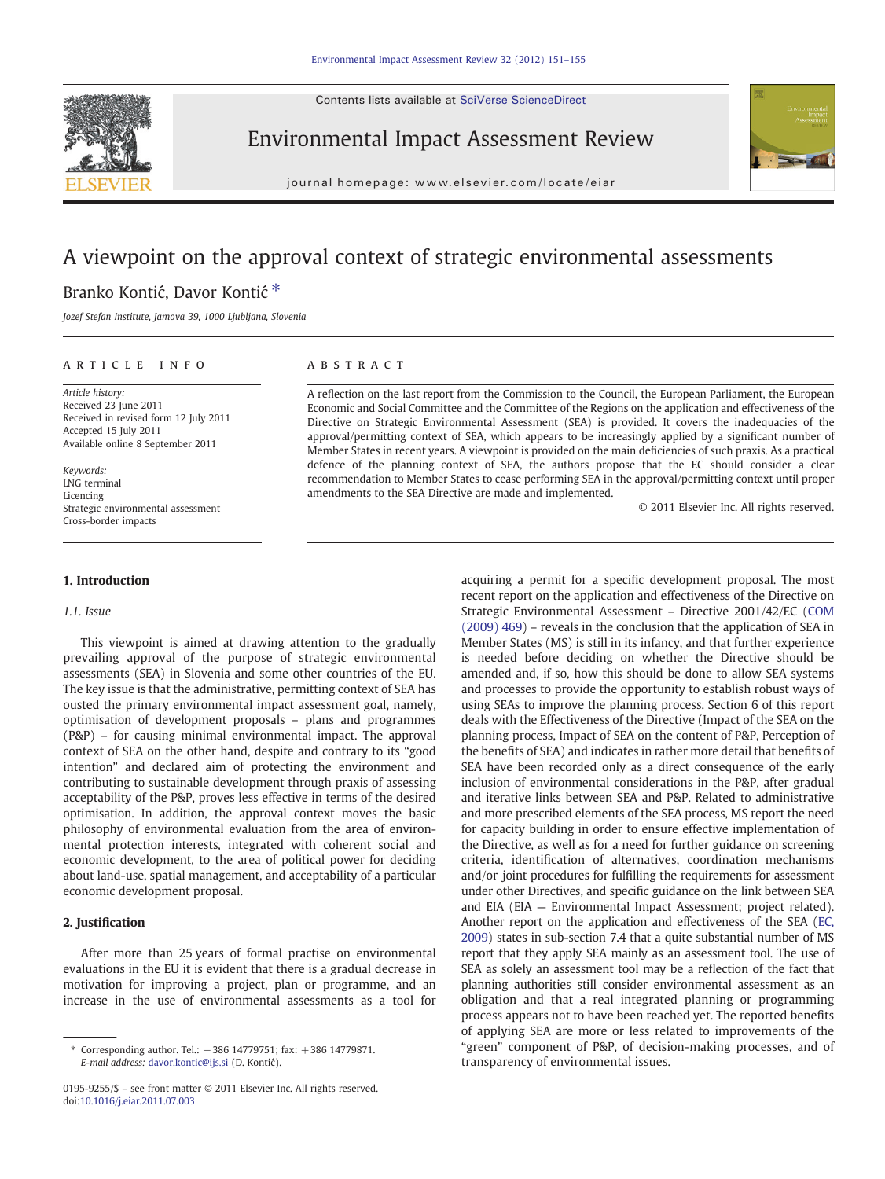Contents lists available at SciVerse ScienceDirect



Environmental Impact Assessment Review



journal homepage: www.elsevier.com/locate/eiar

# A viewpoint on the approval context of strategic environmental assessments

## Branko Kontić, Davor Kontić<sup>\*</sup>

Jozef Stefan Institute, Jamova 39, 1000 Ljubljana, Slovenia

### article info abstract

Article history: Received 23 June 2011 Received in revised form 12 July 2011 Accepted 15 July 2011 Available online 8 September 2011

Keywords: LNG terminal Licencing Strategic environmental assessment Cross-border impacts

#### 1. Introduction

#### 1.1. Issue

This viewpoint is aimed at drawing attention to the gradually prevailing approval of the purpose of strategic environmental assessments (SEA) in Slovenia and some other countries of the EU. The key issue is that the administrative, permitting context of SEA has ousted the primary environmental impact assessment goal, namely, optimisation of development proposals – plans and programmes (P&P) – for causing minimal environmental impact. The approval context of SEA on the other hand, despite and contrary to its "good intention" and declared aim of protecting the environment and contributing to sustainable development through praxis of assessing acceptability of the P&P, proves less effective in terms of the desired optimisation. In addition, the approval context moves the basic philosophy of environmental evaluation from the area of environmental protection interests, integrated with coherent social and economic development, to the area of political power for deciding about land-use, spatial management, and acceptability of a particular economic development proposal.

#### 2. Justification

After more than 25 years of formal practise on environmental evaluations in the EU it is evident that there is a gradual decrease in motivation for improving a project, plan or programme, and an increase in the use of environmental assessments as a tool for

A reflection on the last report from the Commission to the Council, the European Parliament, the European Economic and Social Committee and the Committee of the Regions on the application and effectiveness of the Directive on Strategic Environmental Assessment (SEA) is provided. It covers the inadequacies of the approval/permitting context of SEA, which appears to be increasingly applied by a significant number of Member States in recent years. A viewpoint is provided on the main deficiencies of such praxis. As a practical defence of the planning context of SEA, the authors propose that the EC should consider a clear recommendation to Member States to cease performing SEA in the approval/permitting context until proper amendments to the SEA Directive are made and implemented.

© 2011 Elsevier Inc. All rights reserved.

acquiring a permit for a specific development proposal. The most recent report on the application and effectiveness of the Directive on Strategic Environmental Assessment – Directive 2001/42/EC ([COM](#page--1-0) [\(2009\) 469\)](#page--1-0) – reveals in the conclusion that the application of SEA in Member States (MS) is still in its infancy, and that further experience is needed before deciding on whether the Directive should be amended and, if so, how this should be done to allow SEA systems and processes to provide the opportunity to establish robust ways of using SEAs to improve the planning process. Section 6 of this report deals with the Effectiveness of the Directive (Impact of the SEA on the planning process, Impact of SEA on the content of P&P, Perception of the benefits of SEA) and indicates in rather more detail that benefits of SEA have been recorded only as a direct consequence of the early inclusion of environmental considerations in the P&P, after gradual and iterative links between SEA and P&P. Related to administrative and more prescribed elements of the SEA process, MS report the need for capacity building in order to ensure effective implementation of the Directive, as well as for a need for further guidance on screening criteria, identification of alternatives, coordination mechanisms and/or joint procedures for fulfilling the requirements for assessment under other Directives, and specific guidance on the link between SEA and EIA (EIA — Environmental Impact Assessment; project related). Another report on the application and effectiveness of the SEA ([EC,](#page--1-0) [2009](#page--1-0)) states in sub-section 7.4 that a quite substantial number of MS report that they apply SEA mainly as an assessment tool. The use of SEA as solely an assessment tool may be a reflection of the fact that planning authorities still consider environmental assessment as an obligation and that a real integrated planning or programming process appears not to have been reached yet. The reported benefits of applying SEA are more or less related to improvements of the "green" component of P&P, of decision-making processes, and of transparency of environmental issues.

<sup>⁎</sup> Corresponding author. Tel.: +386 14779751; fax: +386 14779871. E-mail address: [davor.kontic@ijs.si](mailto:davor.kontic@ijs.si) (D. Kontić).

<sup>0195-9255/\$</sup> – see front matter © 2011 Elsevier Inc. All rights reserved. doi:[10.1016/j.eiar.2011.07.003](http://dx.doi.org/10.1016/j.eiar.2011.07.003)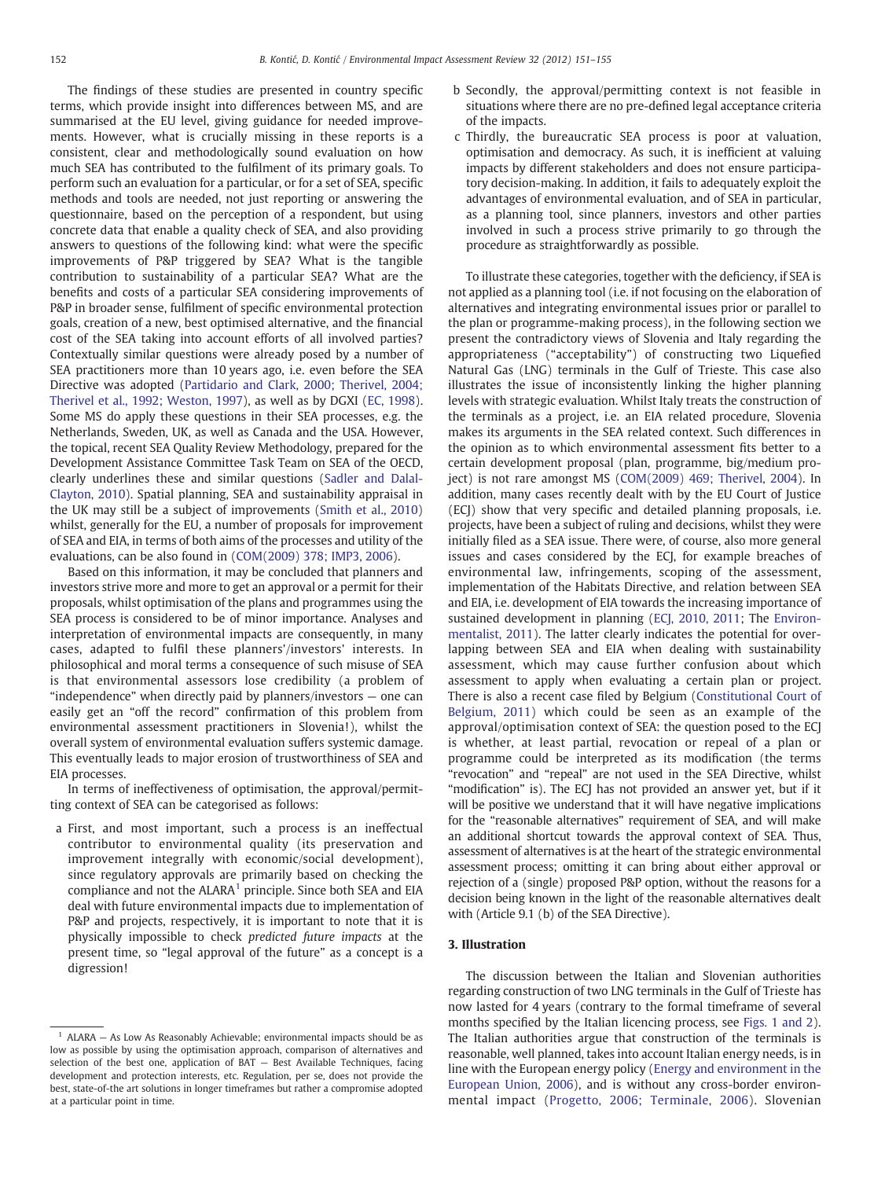The findings of these studies are presented in country specific terms, which provide insight into differences between MS, and are summarised at the EU level, giving guidance for needed improvements. However, what is crucially missing in these reports is a consistent, clear and methodologically sound evaluation on how much SEA has contributed to the fulfilment of its primary goals. To perform such an evaluation for a particular, or for a set of SEA, specific methods and tools are needed, not just reporting or answering the questionnaire, based on the perception of a respondent, but using concrete data that enable a quality check of SEA, and also providing answers to questions of the following kind: what were the specific improvements of P&P triggered by SEA? What is the tangible contribution to sustainability of a particular SEA? What are the benefits and costs of a particular SEA considering improvements of P&P in broader sense, fulfilment of specific environmental protection goals, creation of a new, best optimised alternative, and the financial cost of the SEA taking into account efforts of all involved parties? Contextually similar questions were already posed by a number of SEA practitioners more than 10 years ago, i.e. even before the SEA Directive was adopted [\(Partidario and Clark, 2000; Therivel, 2004;](#page--1-0) [Therivel et al., 1992; Weston, 1997](#page--1-0)), as well as by DGXI [\(EC, 1998](#page--1-0)). Some MS do apply these questions in their SEA processes, e.g. the Netherlands, Sweden, UK, as well as Canada and the USA. However, the topical, recent SEA Quality Review Methodology, prepared for the Development Assistance Committee Task Team on SEA of the OECD, clearly underlines these and similar questions [\(Sadler and Dalal-](#page--1-0)[Clayton, 2010](#page--1-0)). Spatial planning, SEA and sustainability appraisal in the UK may still be a subject of improvements [\(Smith et al., 2010](#page--1-0)) whilst, generally for the EU, a number of proposals for improvement of SEA and EIA, in terms of both aims of the processes and utility of the evaluations, can be also found in [\(COM\(2009\) 378; IMP3, 2006](#page--1-0)).

Based on this information, it may be concluded that planners and investors strive more and more to get an approval or a permit for their proposals, whilst optimisation of the plans and programmes using the SEA process is considered to be of minor importance. Analyses and interpretation of environmental impacts are consequently, in many cases, adapted to fulfil these planners'/investors' interests. In philosophical and moral terms a consequence of such misuse of SEA is that environmental assessors lose credibility (a problem of "independence" when directly paid by planners/investors — one can easily get an "off the record" confirmation of this problem from environmental assessment practitioners in Slovenia!), whilst the overall system of environmental evaluation suffers systemic damage. This eventually leads to major erosion of trustworthiness of SEA and EIA processes.

In terms of ineffectiveness of optimisation, the approval/permitting context of SEA can be categorised as follows:

a First, and most important, such a process is an ineffectual contributor to environmental quality (its preservation and improvement integrally with economic/social development), since regulatory approvals are primarily based on checking the compliance and not the ALARA<sup>1</sup> principle. Since both SEA and EIA deal with future environmental impacts due to implementation of P&P and projects, respectively, it is important to note that it is physically impossible to check predicted future impacts at the present time, so "legal approval of the future" as a concept is a digression!

- b Secondly, the approval/permitting context is not feasible in situations where there are no pre-defined legal acceptance criteria of the impacts.
- c Thirdly, the bureaucratic SEA process is poor at valuation, optimisation and democracy. As such, it is inefficient at valuing impacts by different stakeholders and does not ensure participatory decision-making. In addition, it fails to adequately exploit the advantages of environmental evaluation, and of SEA in particular, as a planning tool, since planners, investors and other parties involved in such a process strive primarily to go through the procedure as straightforwardly as possible.

To illustrate these categories, together with the deficiency, if SEA is not applied as a planning tool (i.e. if not focusing on the elaboration of alternatives and integrating environmental issues prior or parallel to the plan or programme-making process), in the following section we present the contradictory views of Slovenia and Italy regarding the appropriateness ("acceptability") of constructing two Liquefied Natural Gas (LNG) terminals in the Gulf of Trieste. This case also illustrates the issue of inconsistently linking the higher planning levels with strategic evaluation. Whilst Italy treats the construction of the terminals as a project, i.e. an EIA related procedure, Slovenia makes its arguments in the SEA related context. Such differences in the opinion as to which environmental assessment fits better to a certain development proposal (plan, programme, big/medium project) is not rare amongst MS ([COM\(2009\) 469; Therivel, 2004\)](#page--1-0). In addition, many cases recently dealt with by the EU Court of Justice (ECJ) show that very specific and detailed planning proposals, i.e. projects, have been a subject of ruling and decisions, whilst they were initially filed as a SEA issue. There were, of course, also more general issues and cases considered by the ECJ, for example breaches of environmental law, infringements, scoping of the assessment, implementation of the Habitats Directive, and relation between SEA and EIA, i.e. development of EIA towards the increasing importance of sustained development in planning [\(ECJ, 2010, 2011;](#page--1-0) The [Environ](#page--1-0)[mentalist, 2011](#page--1-0)). The latter clearly indicates the potential for overlapping between SEA and EIA when dealing with sustainability assessment, which may cause further confusion about which assessment to apply when evaluating a certain plan or project. There is also a recent case filed by Belgium ([Constitutional Court of](#page--1-0) [Belgium, 2011\)](#page--1-0) which could be seen as an example of the approval/optimisation context of SEA: the question posed to the ECJ is whether, at least partial, revocation or repeal of a plan or programme could be interpreted as its modification (the terms "revocation" and "repeal" are not used in the SEA Directive, whilst "modification" is). The ECJ has not provided an answer yet, but if it will be positive we understand that it will have negative implications for the "reasonable alternatives" requirement of SEA, and will make an additional shortcut towards the approval context of SEA. Thus, assessment of alternatives is at the heart of the strategic environmental assessment process; omitting it can bring about either approval or rejection of a (single) proposed P&P option, without the reasons for a decision being known in the light of the reasonable alternatives dealt with (Article 9.1 (b) of the SEA Directive).

### 3. Illustration

The discussion between the Italian and Slovenian authorities regarding construction of two LNG terminals in the Gulf of Trieste has now lasted for 4 years (contrary to the formal timeframe of several months specified by the Italian licencing process, see [Figs. 1 and 2](#page--1-0)). The Italian authorities argue that construction of the terminals is reasonable, well planned, takes into account Italian energy needs, is in line with the European energy policy [\(Energy and environment in the](#page--1-0) [European Union, 2006\)](#page--1-0), and is without any cross-border environmental impact ([Progetto, 2006; Terminale, 2006](#page--1-0)). Slovenian

 $1$  ALARA  $-$  As Low As Reasonably Achievable; environmental impacts should be as low as possible by using the optimisation approach, comparison of alternatives and selection of the best one, application of BAT — Best Available Techniques, facing development and protection interests, etc. Regulation, per se, does not provide the best, state-of-the art solutions in longer timeframes but rather a compromise adopted at a particular point in time.